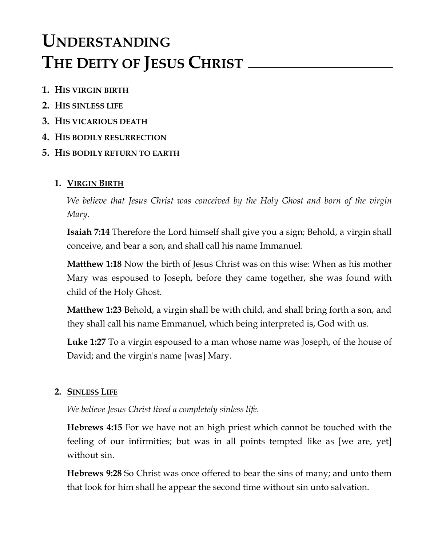# **UNDERSTANDING THE DEITY OF JESUS CHRIST**

- **1. HIS VIRGIN BIRTH**
- **2. HIS SINLESS LIFE**
- **3. HIS VICARIOUS DEATH**
- **4. HIS BODILY RESURRECTION**
- **5. HIS BODILY RETURN TO EARTH**

# **1. VIRGIN BIRTH**

*We believe that Jesus Christ was conceived by the Holy Ghost and born of the virgin Mary.*

**Isaiah 7:14** Therefore the Lord himself shall give you a sign; Behold, a virgin shall conceive, and bear a son, and shall call his name Immanuel.

**Matthew 1:18** Now the birth of Jesus Christ was on this wise: When as his mother Mary was espoused to Joseph, before they came together, she was found with child of the Holy Ghost.

**Matthew 1:23** Behold, a virgin shall be with child, and shall bring forth a son, and they shall call his name Emmanuel, which being interpreted is, God with us.

**Luke 1:27** To a virgin espoused to a man whose name was Joseph, of the house of David; and the virgin's name [was] Mary.

# **2. SINLESS LIFE**

*We believe Jesus Christ lived a completely sinless life.*

**Hebrews 4:15** For we have not an high priest which cannot be touched with the feeling of our infirmities; but was in all points tempted like as [we are, yet] without sin.

**Hebrews 9:28** So Christ was once offered to bear the sins of many; and unto them that look for him shall he appear the second time without sin unto salvation.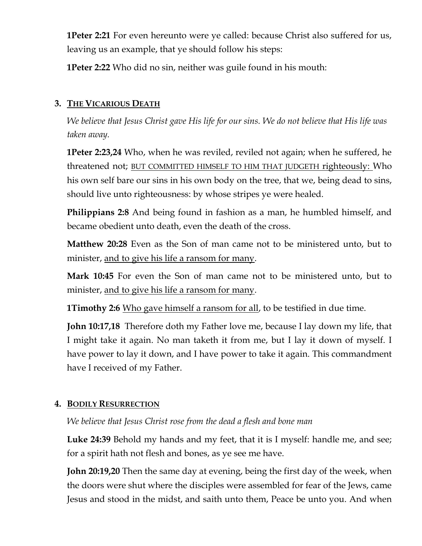**1Peter 2:21** For even hereunto were ye called: because Christ also suffered for us, leaving us an example, that ye should follow his steps:

**1Peter 2:22** Who did no sin, neither was guile found in his mouth:

### **3. THE VICARIOUS DEATH**

*We believe that Jesus Christ gave His life for our sins. We do not believe that His life was taken away.*

**1Peter 2:23,24** Who, when he was reviled, reviled not again; when he suffered, he threatened not; BUT COMMITTED HIMSELF TO HIM THAT JUDGETH righteously: Who his own self bare our sins in his own body on the tree, that we, being dead to sins, should live unto righteousness: by whose stripes ye were healed.

**Philippians 2:8** And being found in fashion as a man, he humbled himself, and became obedient unto death, even the death of the cross.

**Matthew 20:28** Even as the Son of man came not to be ministered unto, but to minister, and to give his life a ransom for many.

**Mark 10:45** For even the Son of man came not to be ministered unto, but to minister, and to give his life a ransom for many.

**1Timothy 2:6** Who gave himself a ransom for all, to be testified in due time.

**John 10:17,18** Therefore doth my Father love me, because I lay down my life, that I might take it again. No man taketh it from me, but I lay it down of myself. I have power to lay it down, and I have power to take it again. This commandment have I received of my Father.

# **4. BODILY RESURRECTION**

*We believe that Jesus Christ rose from the dead a flesh and bone man*

**Luke 24:39** Behold my hands and my feet, that it is I myself: handle me, and see; for a spirit hath not flesh and bones, as ye see me have.

**John 20:19,20** Then the same day at evening, being the first day of the week, when the doors were shut where the disciples were assembled for fear of the Jews, came Jesus and stood in the midst, and saith unto them, Peace be unto you. And when